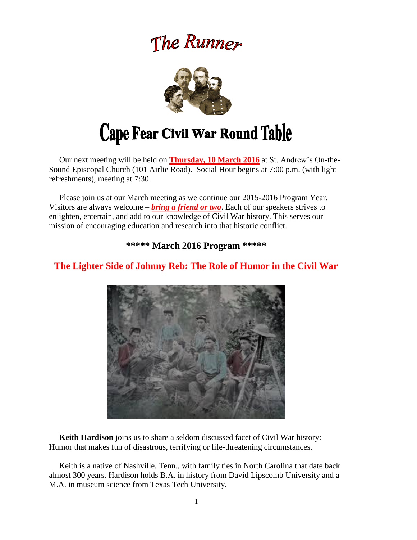# The Runner



 Our next meeting will be held on **Thursday, 10 March 2016** at St. Andrew's On-the-Sound Episcopal Church (101 Airlie Road). Social Hour begins at 7:00 p.m. (with light refreshments), meeting at 7:30.

 Please join us at our March meeting as we continue our 2015-2016 Program Year. Visitors are always welcome – *bring a friend or two*. Each of our speakers strives to enlighten, entertain, and add to our knowledge of Civil War history. This serves our mission of encouraging education and research into that historic conflict.

**\*\*\*\*\* March 2016 Program \*\*\*\*\***



# **The Lighter Side of Johnny Reb: The Role of Humor in the Civil War**

 **Keith Hardison** joins us to share a seldom discussed facet of Civil War history: Humor that makes fun of disastrous, terrifying or life-threatening circumstances.

 Keith is a native of Nashville, Tenn., with family ties in North Carolina that date back almost 300 years. Hardison holds B.A. in history from David Lipscomb University and a M.A. in museum science from Texas Tech University.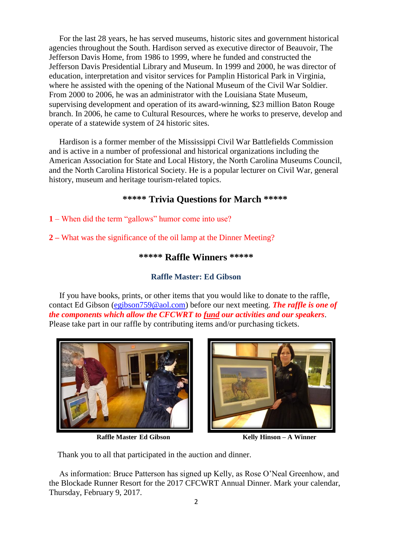For the last 28 years, he has served museums, historic sites and government historical agencies throughout the South. Hardison served as executive director of Beauvoir, The Jefferson Davis Home, from 1986 to 1999, where he funded and constructed the Jefferson Davis Presidential Library and Museum. In 1999 and 2000, he was director of education, interpretation and visitor services for Pamplin Historical Park in Virginia, where he assisted with the opening of the National Museum of the Civil War Soldier. From 2000 to 2006, he was an administrator with the Louisiana State Museum, supervising development and operation of its award-winning, \$23 million Baton Rouge branch. In 2006, he came to Cultural Resources, where he works to preserve, develop and operate of a statewide system of 24 historic sites.

 Hardison is a former member of the Mississippi Civil War Battlefields Commission and is active in a number of professional and historical organizations including the American Association for State and Local History, the North Carolina Museums Council, and the North Carolina Historical Society. He is a popular lecturer on Civil War, general history, museum and heritage tourism-related topics.

### **\*\*\*\*\* Trivia Questions for March \*\*\*\*\***

**1** – When did the term "gallows" humor come into use?

**2 –** What was the significance of the oil lamp at the Dinner Meeting?

#### **\*\*\*\*\* Raffle Winners \*\*\*\*\***

## **Raffle Master: Ed Gibson**

If you have books, prints, or other items that you would like to donate to the raffle, contact Ed Gibson [\(egibson759@aol.com\)](mailto:egibson759@aol.com) before our next meeting. *The raffle is one of the components which allow the CFCWRT to fund our activities and our speakers*. Please take part in our raffle by contributing items and/or purchasing tickets.



 **Raffle Master Ed Gibson Kelly Hinson – A Winner** 



Thank you to all that participated in the auction and dinner.

 As information: Bruce Patterson has signed up Kelly, as Rose O'Neal Greenhow, and the Blockade Runner Resort for the 2017 CFCWRT Annual Dinner. Mark your calendar, Thursday, February 9, 2017.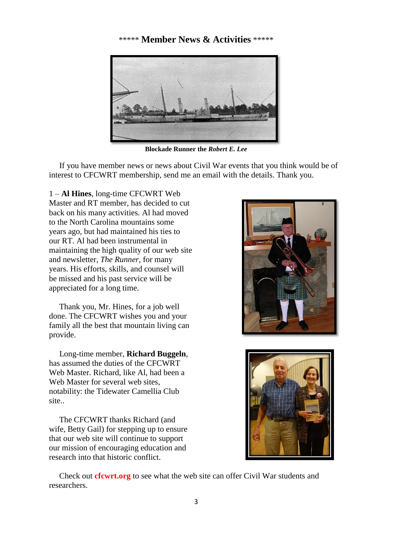### \*\*\*\*\* **Member News & Activities** \*\*\*\*\*



**Blockade Runner the** *Robert E. Lee*

 If you have member news or news about Civil War events that you think would be of interest to CFCWRT membership, send me an email with the details. Thank you.

1 – **Al Hines**, long-time CFCWRT Web Master and RT member, has decided to cut back on his many activities. Al had moved to the North Carolina mountains some years ago, but had maintained his ties to our RT. Al had been instrumental in maintaining the high quality of our web site and newsletter, *The Runner,* for many years. His efforts, skills, and counsel will be missed and his past service will be appreciated for a long time.

 Thank you, Mr. Hines, for a job well done. The CFCWRT wishes you and your family all the best that mountain living can provide.

 Long-time member, **Richard Buggeln**, has assumed the duties of the CFCWRT Web Master. Richard, like Al, had been a Web Master for several web sites, notability: the Tidewater Camellia Club site..

 The CFCWRT thanks Richard (and wife, Betty Gail) for stepping up to ensure that our web site will continue to support our mission of encouraging education and research into that historic conflict.





 Check out **cfcwrt.org** to see what the web site can offer Civil War students and researchers.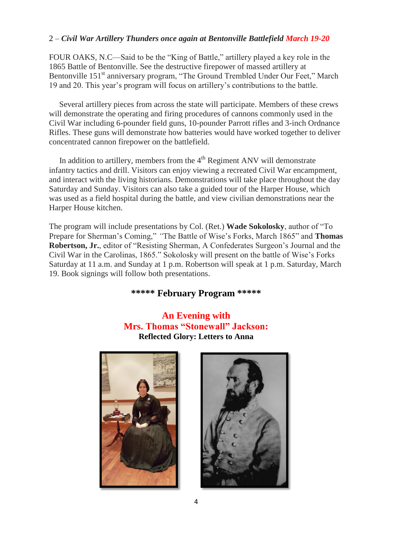#### 2 – *Civil War Artillery Thunders once again at Bentonville Battlefield March 19-20*

FOUR OAKS, N.C—Said to be the "King of Battle," artillery played a key role in the 1865 Battle of Bentonville. See the destructive firepower of massed artillery at Bentonville 151<sup>st</sup> anniversary program, "The Ground Trembled Under Our Feet," March 19 and 20. This year's program will focus on artillery's contributions to the battle.

 Several artillery pieces from across the state will participate. Members of these crews will demonstrate the operating and firing procedures of cannons commonly used in the Civil War including 6-pounder field guns, 10-pounder Parrott rifles and 3-inch Ordnance Rifles. These guns will demonstrate how batteries would have worked together to deliver concentrated cannon firepower on the battlefield.

In addition to artillery, members from the  $4<sup>th</sup>$  Regiment ANV will demonstrate infantry tactics and drill. Visitors can enjoy viewing a recreated Civil War encampment, and interact with the living historians. Demonstrations will take place throughout the day Saturday and Sunday. Visitors can also take a guided tour of the Harper House, which was used as a field hospital during the battle, and view civilian demonstrations near the Harper House kitchen.

The program will include presentations by Col. (Ret.) **Wade Sokolosky**, author of "To Prepare for Sherman's Coming," *"*The Battle of Wise's Forks, March 1865" and **Thomas Robertson, Jr.**, editor of "Resisting Sherman, A Confederates Surgeon's Journal and the Civil War in the Carolinas, 1865." Sokolosky will present on the battle of Wise's Forks Saturday at 11 a.m. and Sunday at 1 p.m. Robertson will speak at 1 p.m. Saturday, March 19. Book signings will follow both presentations.

### **\*\*\*\*\* February Program \*\*\*\*\***

**An Evening with Mrs. Thomas "Stonewall" Jackson: Reflected Glory: Letters to Anna**